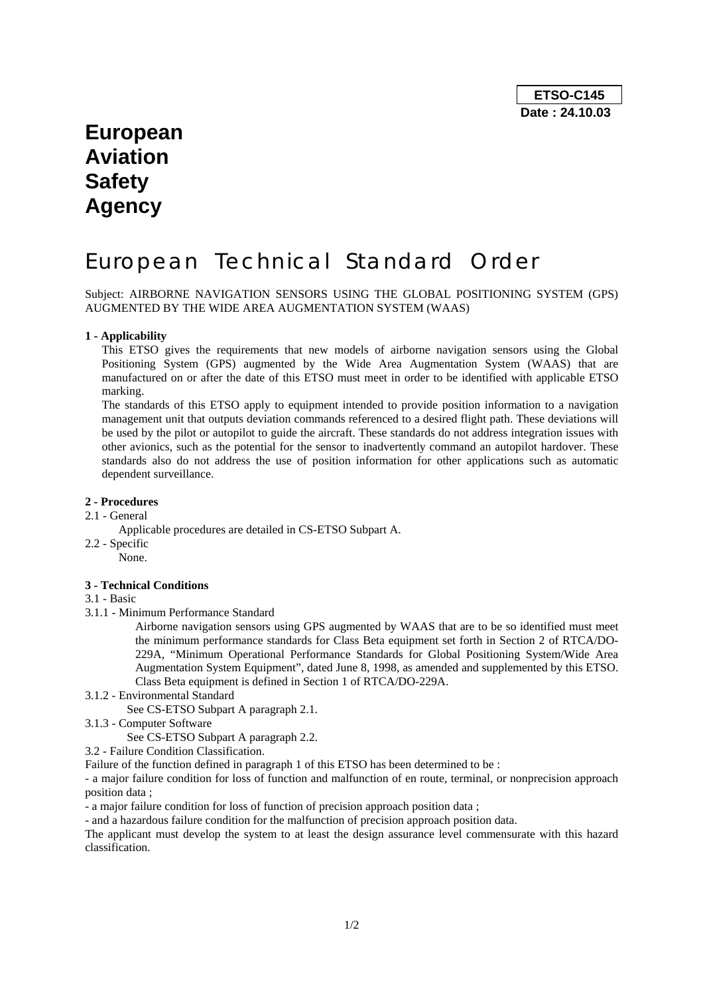# **European Aviation Safety Agency**

# European Technical Standard Order

Subject: AIRBORNE NAVIGATION SENSORS USING THE GLOBAL POSITIONING SYSTEM (GPS) AUGMENTED BY THE WIDE AREA AUGMENTATION SYSTEM (WAAS)

### **1 - Applicability**

This ETSO gives the requirements that new models of airborne navigation sensors using the Global Positioning System (GPS) augmented by the Wide Area Augmentation System (WAAS) that are manufactured on or after the date of this ETSO must meet in order to be identified with applicable ETSO marking.

The standards of this ETSO apply to equipment intended to provide position information to a navigation management unit that outputs deviation commands referenced to a desired flight path. These deviations will be used by the pilot or autopilot to guide the aircraft. These standards do not address integration issues with other avionics, such as the potential for the sensor to inadvertently command an autopilot hardover. These standards also do not address the use of position information for other applications such as automatic dependent surveillance.

### **2 - Procedures**

- 2.1 General
	- Applicable procedures are detailed in CS-ETSO Subpart A.
- 2.2 Specific None.

### **3 - Technical Conditions**

3.1 - Basic

3.1.1 - Minimum Performance Standard

Airborne navigation sensors using GPS augmented by WAAS that are to be so identified must meet the minimum performance standards for Class Beta equipment set forth in Section 2 of RTCA/DO-229A, "Minimum Operational Performance Standards for Global Positioning System/Wide Area Augmentation System Equipment", dated June 8, 1998, as amended and supplemented by this ETSO. Class Beta equipment is defined in Section 1 of RTCA/DO-229A.

3.1.2 - Environmental Standard

See CS-ETSO Subpart A paragraph 2.1.

3.1.3 - Computer Software

See CS-ETSO Subpart A paragraph 2.2.

3.2 - Failure Condition Classification.

Failure of the function defined in paragraph 1 of this ETSO has been determined to be :

- a major failure condition for loss of function and malfunction of en route, terminal, or nonprecision approach position data ;

- a major failure condition for loss of function of precision approach position data ;

- and a hazardous failure condition for the malfunction of precision approach position data.

The applicant must develop the system to at least the design assurance level commensurate with this hazard classification.